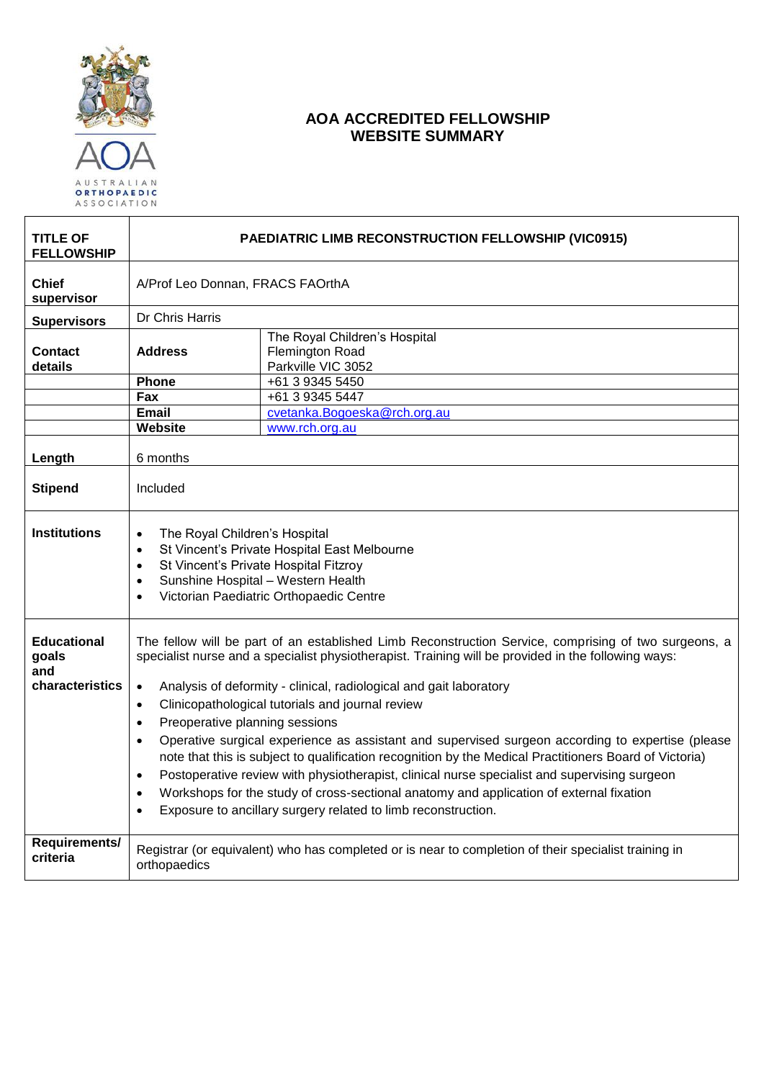

## **AOA ACCREDITED FELLOWSHIP WEBSITE SUMMARY**

| <b>TITLE OF</b><br><b>FELLOWSHIP</b>                  | <b>PAEDIATRIC LIMB RECONSTRUCTION FELLOWSHIP (VIC0915)</b>                                                                                                                                                                                                                                                                                                                                                                                                                                                                                                                                                                                                                                                                                                                                                                                                                                                                                   |                                                                        |
|-------------------------------------------------------|----------------------------------------------------------------------------------------------------------------------------------------------------------------------------------------------------------------------------------------------------------------------------------------------------------------------------------------------------------------------------------------------------------------------------------------------------------------------------------------------------------------------------------------------------------------------------------------------------------------------------------------------------------------------------------------------------------------------------------------------------------------------------------------------------------------------------------------------------------------------------------------------------------------------------------------------|------------------------------------------------------------------------|
| <b>Chief</b><br>supervisor                            | A/Prof Leo Donnan, FRACS FAOrthA                                                                                                                                                                                                                                                                                                                                                                                                                                                                                                                                                                                                                                                                                                                                                                                                                                                                                                             |                                                                        |
| <b>Supervisors</b>                                    | Dr Chris Harris                                                                                                                                                                                                                                                                                                                                                                                                                                                                                                                                                                                                                                                                                                                                                                                                                                                                                                                              |                                                                        |
| <b>Contact</b><br>details                             | <b>Address</b>                                                                                                                                                                                                                                                                                                                                                                                                                                                                                                                                                                                                                                                                                                                                                                                                                                                                                                                               | The Royal Children's Hospital<br>Flemington Road<br>Parkville VIC 3052 |
|                                                       | Phone                                                                                                                                                                                                                                                                                                                                                                                                                                                                                                                                                                                                                                                                                                                                                                                                                                                                                                                                        | +61 3 9345 5450                                                        |
|                                                       | Fax                                                                                                                                                                                                                                                                                                                                                                                                                                                                                                                                                                                                                                                                                                                                                                                                                                                                                                                                          | +61 3 9345 5447                                                        |
|                                                       | Email                                                                                                                                                                                                                                                                                                                                                                                                                                                                                                                                                                                                                                                                                                                                                                                                                                                                                                                                        | cvetanka.Bogoeska@rch.org.au                                           |
|                                                       | <b>Website</b>                                                                                                                                                                                                                                                                                                                                                                                                                                                                                                                                                                                                                                                                                                                                                                                                                                                                                                                               | www.rch.org.au                                                         |
| Length                                                | 6 months                                                                                                                                                                                                                                                                                                                                                                                                                                                                                                                                                                                                                                                                                                                                                                                                                                                                                                                                     |                                                                        |
| <b>Stipend</b>                                        | Included                                                                                                                                                                                                                                                                                                                                                                                                                                                                                                                                                                                                                                                                                                                                                                                                                                                                                                                                     |                                                                        |
| <b>Institutions</b>                                   | The Royal Children's Hospital<br>$\bullet$<br>St Vincent's Private Hospital East Melbourne<br>$\bullet$<br>St Vincent's Private Hospital Fitzroy<br>$\bullet$<br>Sunshine Hospital - Western Health<br>$\bullet$<br>Victorian Paediatric Orthopaedic Centre<br>$\bullet$                                                                                                                                                                                                                                                                                                                                                                                                                                                                                                                                                                                                                                                                     |                                                                        |
| <b>Educational</b><br>goals<br>and<br>characteristics | The fellow will be part of an established Limb Reconstruction Service, comprising of two surgeons, a<br>specialist nurse and a specialist physiotherapist. Training will be provided in the following ways:<br>Analysis of deformity - clinical, radiological and gait laboratory<br>$\bullet$<br>Clinicopathological tutorials and journal review<br>$\bullet$<br>Preoperative planning sessions<br>$\bullet$<br>Operative surgical experience as assistant and supervised surgeon according to expertise (please<br>$\bullet$<br>note that this is subject to qualification recognition by the Medical Practitioners Board of Victoria)<br>Postoperative review with physiotherapist, clinical nurse specialist and supervising surgeon<br>$\bullet$<br>Workshops for the study of cross-sectional anatomy and application of external fixation<br>$\bullet$<br>Exposure to ancillary surgery related to limb reconstruction.<br>$\bullet$ |                                                                        |
| Requirements/<br>criteria                             | Registrar (or equivalent) who has completed or is near to completion of their specialist training in<br>orthopaedics                                                                                                                                                                                                                                                                                                                                                                                                                                                                                                                                                                                                                                                                                                                                                                                                                         |                                                                        |